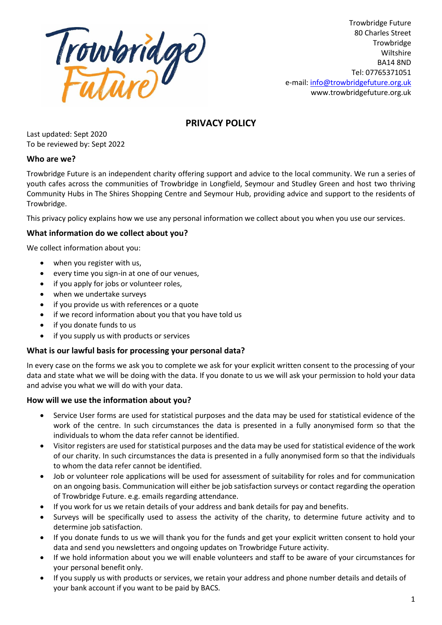

Trowbridge Future 80 Charles Street **Trowbridge** Wiltshire BA14 8ND Tel: 07765371051 e-mail: [info@trowbridgefuture.org.uk](mailto:info@trowbridgefuture.org.uk) www.trowbridgefuture.org.uk

# **PRIVACY POLICY**

Last updated: Sept 2020 To be reviewed by: Sept 2022

# **Who are we?**

Trowbridge Future is an independent charity offering support and advice to the local community. We run a series of youth cafes across the communities of Trowbridge in Longfield, Seymour and Studley Green and host two thriving Community Hubs in The Shires Shopping Centre and Seymour Hub, providing advice and support to the residents of Trowbridge.

This privacy policy explains how we use any personal information we collect about you when you use our services.

# **What information do we collect about you?**

We collect information about you:

- when you register with us,
- every time you sign-in at one of our venues,
- if you apply for jobs or volunteer roles,
- when we undertake surveys
- if you provide us with references or a quote
- if we record information about you that you have told us
- if you donate funds to us
- if you supply us with products or services

# **What is our lawful basis for processing your personal data?**

In every case on the forms we ask you to complete we ask for your explicit written consent to the processing of your data and state what we will be doing with the data. If you donate to us we will ask your permission to hold your data and advise you what we will do with your data.

#### **How will we use the information about you?**

- Service User forms are used for statistical purposes and the data may be used for statistical evidence of the work of the centre. In such circumstances the data is presented in a fully anonymised form so that the individuals to whom the data refer cannot be identified.
- Visitor registers are used for statistical purposes and the data may be used for statistical evidence of the work of our charity. In such circumstances the data is presented in a fully anonymised form so that the individuals to whom the data refer cannot be identified.
- Job or volunteer role applications will be used for assessment of suitability for roles and for communication on an ongoing basis. Communication will either be job satisfaction surveys or contact regarding the operation of Trowbridge Future. e.g. emails regarding attendance.
- If you work for us we retain details of your address and bank details for pay and benefits.
- Surveys will be specifically used to assess the activity of the charity, to determine future activity and to determine job satisfaction.
- If you donate funds to us we will thank you for the funds and get your explicit written consent to hold your data and send you newsletters and ongoing updates on Trowbridge Future activity.
- If we hold information about you we will enable volunteers and staff to be aware of your circumstances for your personal benefit only.
- If you supply us with products or services, we retain your address and phone number details and details of your bank account if you want to be paid by BACS.